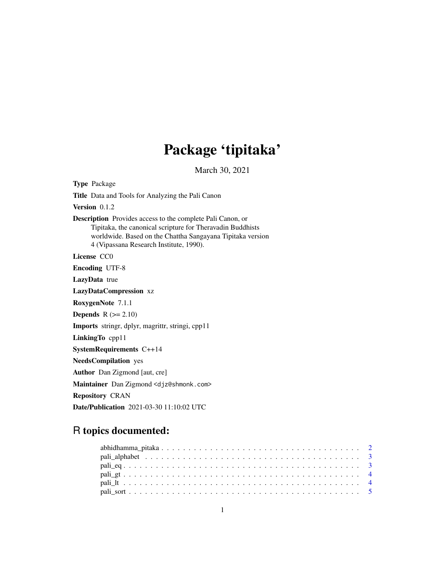## Package 'tipitaka'

March 30, 2021

Type Package Title Data and Tools for Analyzing the Pali Canon Version 0.1.2 Description Provides access to the complete Pali Canon, or Tipitaka, the canonical scripture for Theravadin Buddhists worldwide. Based on the Chattha Sangayana Tipitaka version 4 (Vipassana Research Institute, 1990). License CC0 Encoding UTF-8 LazyData true LazyDataCompression xz RoxygenNote 7.1.1 **Depends**  $R$  ( $>= 2.10$ ) Imports stringr, dplyr, magrittr, stringi, cpp11 LinkingTo cpp11 SystemRequirements C++14 NeedsCompilation yes Author Dan Zigmond [aut, cre] Maintainer Dan Zigmond <djz@shmonk.com> Repository CRAN Date/Publication 2021-03-30 11:10:02 UTC

## R topics documented: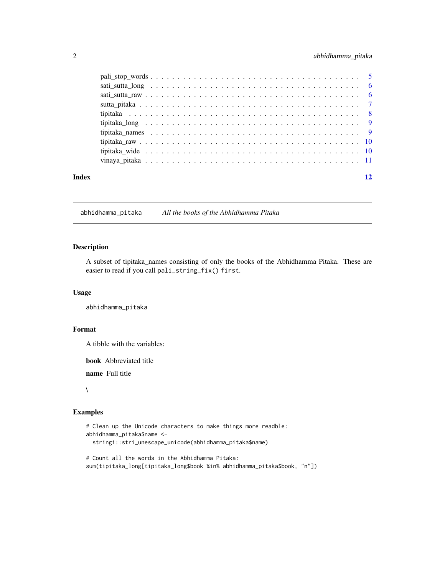### <span id="page-1-0"></span>2 abhidhamma\_pitaka

| Index | 12 |
|-------|----|
|       |    |
|       |    |
|       |    |
|       |    |
|       |    |
|       |    |
|       |    |
|       |    |
|       |    |
|       |    |

abhidhamma\_pitaka *All the books of the Abhidhamma Pitaka*

#### Description

A subset of tipitaka\_names consisting of only the books of the Abhidhamma Pitaka. These are easier to read if you call pali\_string\_fix() first.

#### Usage

abhidhamma\_pitaka

#### Format

A tibble with the variables:

book Abbreviated title

name Full title

#### $\lambda$

#### Examples

```
# Clean up the Unicode characters to make things more readble:
abhidhamma_pitaka$name <-
 stringi::stri_unescape_unicode(abhidhamma_pitaka$name)
```
# Count all the words in the Abhidhamma Pitaka: sum(tipitaka\_long[tipitaka\_long\$book %in% abhidhamma\_pitaka\$book, "n"])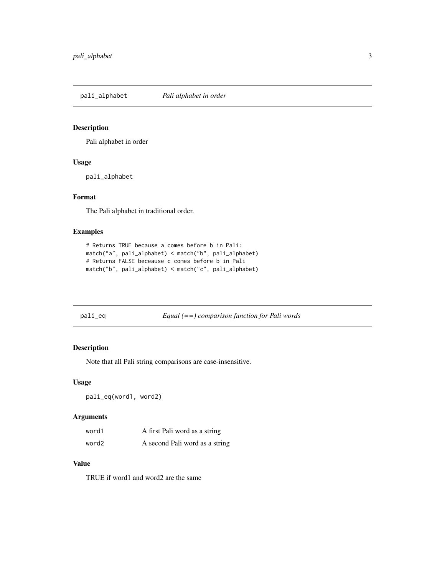<span id="page-2-0"></span>pali\_alphabet *Pali alphabet in order*

### Description

Pali alphabet in order

#### Usage

pali\_alphabet

#### Format

The Pali alphabet in traditional order.

#### Examples

```
# Returns TRUE because a comes before b in Pali:
match("a", pali_alphabet) < match("b", pali_alphabet)
# Returns FALSE beceause c comes before b in Pali
match("b", pali_alphabet) < match("c", pali_alphabet)
```

| pali_eq | $Equal (= =) comparison function for Pali words$ |
|---------|--------------------------------------------------|
|         |                                                  |

#### Description

Note that all Pali string comparisons are case-insensitive.

#### Usage

pali\_eq(word1, word2)

#### Arguments

| word1 | A first Pali word as a string  |
|-------|--------------------------------|
| word2 | A second Pali word as a string |

#### Value

TRUE if word1 and word2 are the same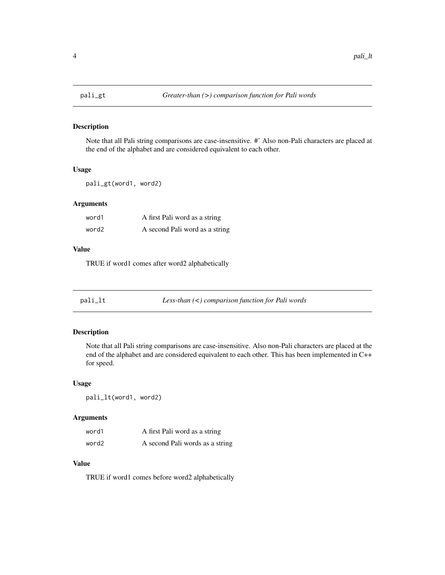<span id="page-3-0"></span>

Note that all Pali string comparisons are case-insensitive. #' Also non-Pali characters are placed at the end of the alphabet and are considered equivalent to each other.

#### Usage

pali\_gt(word1, word2)

#### Arguments

| word1 | A first Pali word as a string  |
|-------|--------------------------------|
| word2 | A second Pali word as a string |

#### Value

TRUE if word1 comes after word2 alphabetically

pali\_lt *Less-than (<) comparison function for Pali words*

#### Description

Note that all Pali string comparisons are case-insensitive. Also non-Pali characters are placed at the end of the alphabet and are considered equivalent to each other. This has been implemented in C++ for speed.

#### Usage

pali\_lt(word1, word2)

#### Arguments

| word1 | A first Pali word as a string   |
|-------|---------------------------------|
| word2 | A second Pali words as a string |

#### Value

TRUE if word1 comes before word2 alphabetically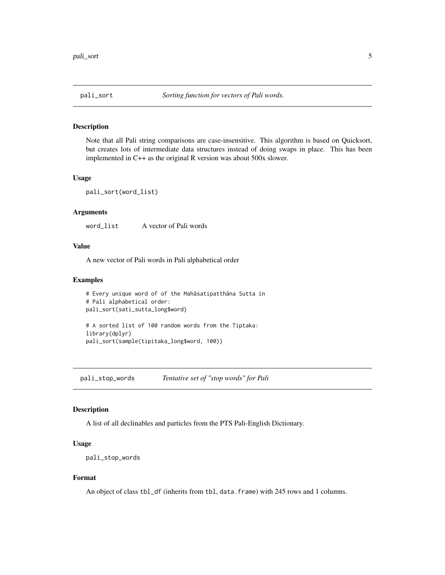<span id="page-4-0"></span>

Note that all Pali string comparisons are case-insensitive. This algorithm is based on Quicksort, but creates lots of intermediate data structures instead of doing swaps in place. This has been implemented in C++ as the original R version was about 500x slower.

#### Usage

```
pali_sort(word_list)
```
#### Arguments

word\_list A vector of Pali words

#### Value

A new vector of Pali words in Pali alphabetical order

#### Examples

```
# Every unique word of of the Mahāsatipatthāna Sutta in
# Pali alphabetical order:
pali_sort(sati_sutta_long$word)
# A sorted list of 100 random words from the Tiptaka:
library(dplyr)
pali_sort(sample(tipitaka_long$word, 100))
```
pali\_stop\_words *Tentative set of "stop words" for Pali*

#### Description

A list of all declinables and particles from the PTS Pali-English Dictionary.

#### Usage

```
pali_stop_words
```
#### Format

An object of class tbl\_df (inherits from tbl, data.frame) with 245 rows and 1 columns.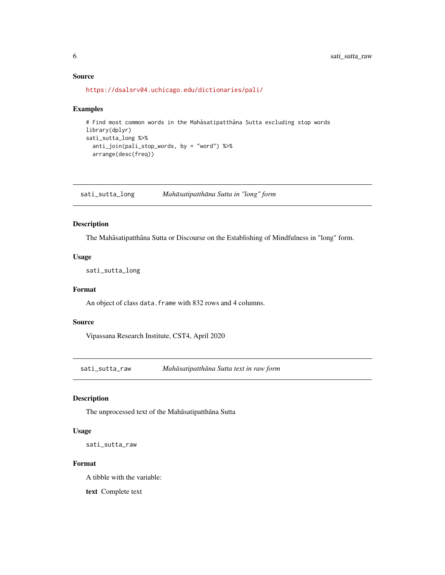#### <span id="page-5-0"></span>Source

```
https://dsalsrv04.uchicago.edu/dictionaries/pali/
```
#### Examples

```
# Find most common words in the Mahāsatipatthāna Sutta excluding stop words
library(dplyr)
sati_sutta_long %>%
  anti_join(pali_stop_words, by = "word") %>%
  arrange(desc(freq))
```
sati\_sutta\_long *Mahāsatipatthāna Sutta in "long" form* 

#### Description

The Mahāsatipatthāna Sutta or Discourse on the Establishing of Mindfulness in "long" form.

#### Usage

sati\_sutta\_long

#### Format

An object of class data. frame with 832 rows and 4 columns.

#### Source

Vipassana Research Institute, CST4, April 2020

sati\_sutta\_raw *Mahāsatipatthāna Sutta text in raw form* 

#### Description

The unprocessed text of the Mahāsatipatthāna Sutta

#### Usage

sati\_sutta\_raw

#### Format

A tibble with the variable:

text Complete text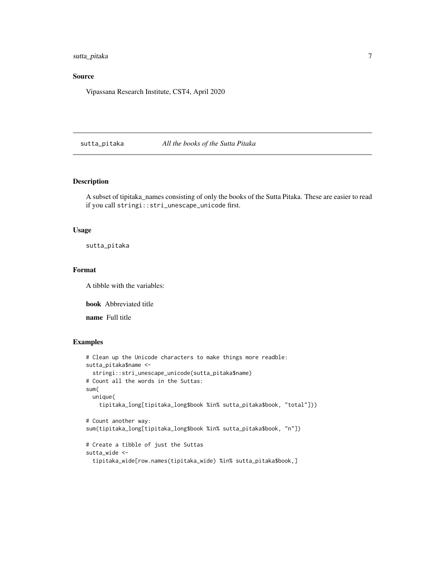<span id="page-6-0"></span>sutta\_pitaka 7

#### Source

Vipassana Research Institute, CST4, April 2020

sutta\_pitaka *All the books of the Sutta Pitaka*

#### Description

A subset of tipitaka\_names consisting of only the books of the Sutta Pitaka. These are easier to read if you call stringi::stri\_unescape\_unicode first.

#### Usage

sutta\_pitaka

#### Format

A tibble with the variables:

book Abbreviated title

name Full title

#### Examples

```
# Clean up the Unicode characters to make things more readble:
sutta_pitaka$name <-
  stringi::stri_unescape_unicode(sutta_pitaka$name)
# Count all the words in the Suttas:
sum(
  unique(
    tipitaka_long[tipitaka_long$book %in% sutta_pitaka$book, "total"]))
# Count another way:
sum(tipitaka_long[tipitaka_long$book %in% sutta_pitaka$book, "n"])
# Create a tibble of just the Suttas
sutta_wide <-
  tipitaka_wide[row.names(tipitaka_wide) %in% sutta_pitaka$book,]
```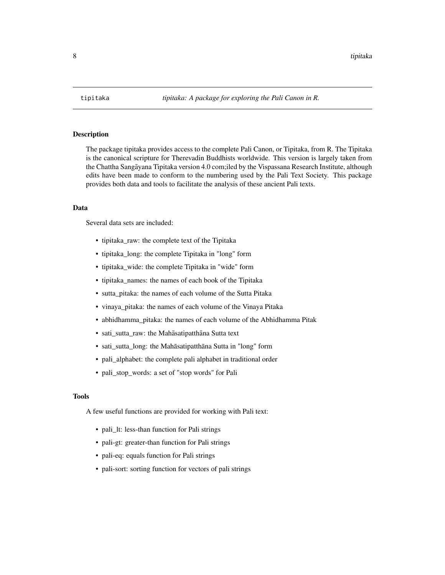<span id="page-7-0"></span>The package tipitaka provides access to the complete Pali Canon, or Tipitaka, from R. The Tipitaka is the canonical scripture for Therevadin Buddhists worldwide. This version is largely taken from the Chattha Sangayana Tipitaka version 4.0 com;iled by the Vispassana Research Institute, although ¯ edits have been made to conform to the numbering used by the Pali Text Society. This package provides both data and tools to facilitate the analysis of these ancient Pali texts.

#### Data

Several data sets are included:

- tipitaka\_raw: the complete text of the Tipitaka
- tipitaka\_long: the complete Tipitaka in "long" form
- tipitaka\_wide: the complete Tipitaka in "wide" form
- tipitaka\_names: the names of each book of the Tipitaka
- sutta pitaka: the names of each volume of the Sutta Pitaka
- vinaya\_pitaka: the names of each volume of the Vinaya Pitaka
- abhidhamma\_pitaka: the names of each volume of the Abhidhamma Pitak
- sati\_sutta\_raw: the Mahasatipatthana Sutta text
- sati\_sutta\_long: the Mahasatipatthana Sutta in "long" form
- pali\_alphabet: the complete pali alphabet in traditional order
- pali\_stop\_words: a set of "stop words" for Pali

#### Tools

A few useful functions are provided for working with Pali text:

- pali\_lt: less-than function for Pali strings
- pali-gt: greater-than function for Pali strings
- pali-eq: equals function for Pali strings
- pali-sort: sorting function for vectors of pali strings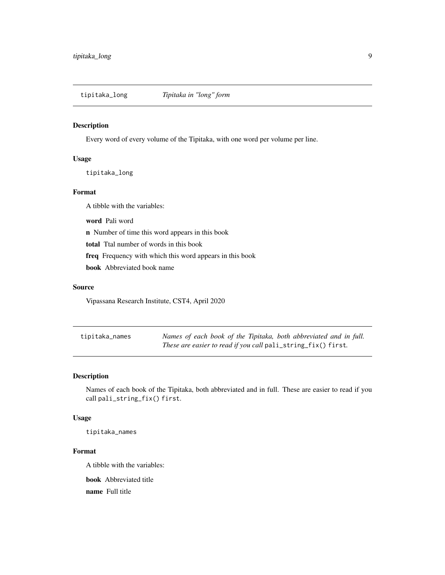<span id="page-8-0"></span>tipitaka\_long *Tipitaka in "long" form*

#### Description

Every word of every volume of the Tipitaka, with one word per volume per line.

#### Usage

tipitaka\_long

#### Format

A tibble with the variables:

word Pali word

n Number of time this word appears in this book

total Ttal number of words in this book

freq Frequency with which this word appears in this book

book Abbreviated book name

#### Source

Vipassana Research Institute, CST4, April 2020

| tipitaka_names | Names of each book of the Tipitaka, both abbreviated and in full. |
|----------------|-------------------------------------------------------------------|
|                | These are easier to read if you call pali_string_fix() first.     |

#### Description

Names of each book of the Tipitaka, both abbreviated and in full. These are easier to read if you call pali\_string\_fix() first.

#### Usage

tipitaka\_names

#### Format

A tibble with the variables:

book Abbreviated title

name Full title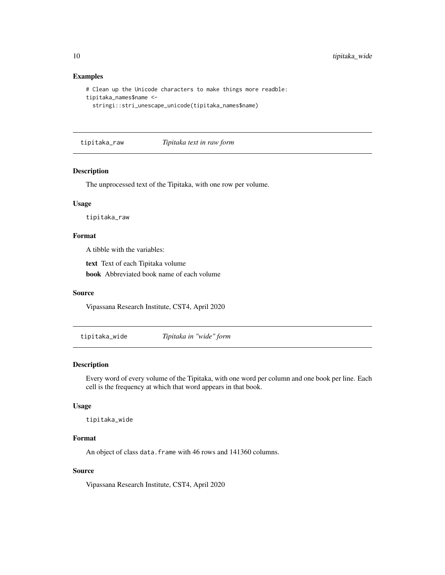#### Examples

```
# Clean up the Unicode characters to make things more readble:
tipitaka_names$name <-
 stringi::stri_unescape_unicode(tipitaka_names$name)
```
tipitaka\_raw *Tipitaka text in raw form*

#### Description

The unprocessed text of the Tipitaka, with one row per volume.

#### Usage

tipitaka\_raw

#### Format

A tibble with the variables:

text Text of each Tipitaka volume

book Abbreviated book name of each volume

#### Source

Vipassana Research Institute, CST4, April 2020

tipitaka\_wide *Tipitaka in "wide" form*

#### Description

Every word of every volume of the Tipitaka, with one word per column and one book per line. Each cell is the frequency at which that word appears in that book.

#### Usage

tipitaka\_wide

#### Format

An object of class data. frame with 46 rows and 141360 columns.

#### Source

Vipassana Research Institute, CST4, April 2020

<span id="page-9-0"></span>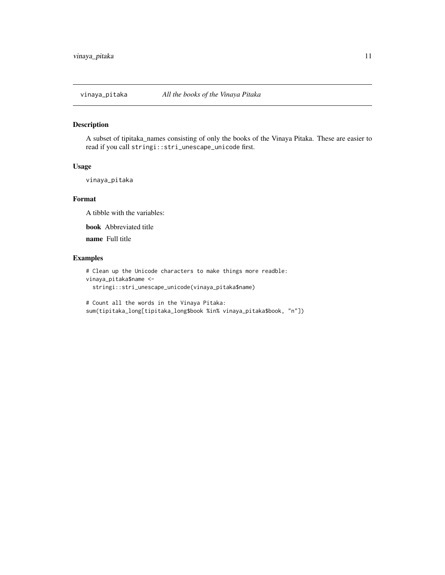<span id="page-10-0"></span>

A subset of tipitaka\_names consisting of only the books of the Vinaya Pitaka. These are easier to read if you call stringi::stri\_unescape\_unicode first.

#### Usage

```
vinaya_pitaka
```
#### Format

A tibble with the variables:

book Abbreviated title

name Full title

#### Examples

```
# Clean up the Unicode characters to make things more readble:
vinaya_pitaka$name <-
 stringi::stri_unescape_unicode(vinaya_pitaka$name)
```
# Count all the words in the Vinaya Pitaka: sum(tipitaka\_long[tipitaka\_long\$book %in% vinaya\_pitaka\$book, "n"])